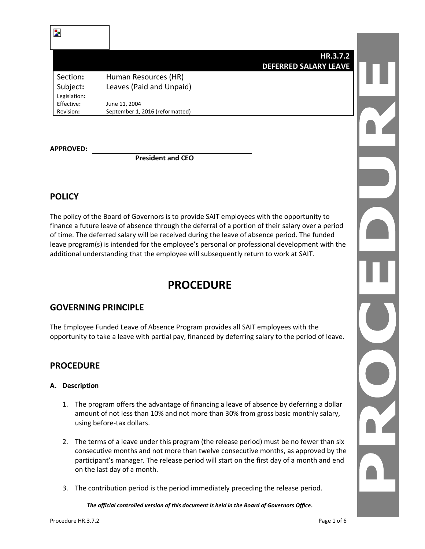### **HR.3.7.2 DEFERRED SALARY LEAVE**

Section**:** Human Resources (HR) Subject**:** Leaves (Paid and Unpaid) Legislation**:** Effective**:** June 11, 2004 Revision**:** September 1, 2016 (reformatted)

**APPROVED:**

**President and CEO**

# **POLICY**

The policy of the Board of Governors is to provide SAIT employees with the opportunity to finance a future leave of absence through the deferral of a portion of their salary over a period of time. The deferred salary will be received during the leave of absence period. The funded leave program(s) is intended for the employee's personal or professional development with the additional understanding that the employee will subsequently return to work at SAIT.

# **PROCEDURE**

# **GOVERNING PRINCIPLE**

The Employee Funded Leave of Absence Program provides all SAIT employees with the opportunity to take a leave with partial pay, financed by deferring salary to the period of leave.

## **PROCEDURE**

### **A. Description**

- 1. The program offers the advantage of financing a leave of absence by deferring a dollar amount of not less than 10% and not more than 30% from gross basic monthly salary, using before-tax dollars.
- 2. The terms of a leave under this program (the release period) must be no fewer than six consecutive months and not more than twelve consecutive months, as approved by the participant's manager. The release period will start on the first day of a month and end on the last day of a month.
- 3. The contribution period is the period immediately preceding the release period.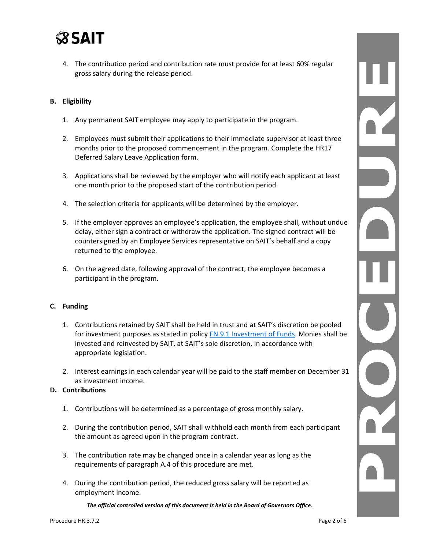

4. The contribution period and contribution rate must provide for at least 60% regular gross salary during the release period.

#### **B. Eligibility**

- 1. Any permanent SAIT employee may apply to participate in the program.
- 2. Employees must submit their applications to their immediate supervisor at least three months prior to the proposed commencement in the program. Complete the HR17 Deferred Salary Leave Application form.
- 3. Applications shall be reviewed by the employer who will notify each applicant at least one month prior to the proposed start of the contribution period.
- 4. The selection criteria for applicants will be determined by the employer.
- 5. If the employer approves an employee's application, the employee shall, without undue delay, either sign a contract or withdraw the application. The signed contract will be countersigned by an Employee Services representative on SAIT's behalf and a copy returned to the employee.
- 6. On the agreed date, following approval of the contract, the employee becomes a participant in the program.

#### **C. Funding**

- 1. Contributions retained by SAIT shall be held in trust and at SAIT's discretion be pooled for investment purposes as stated in policy [FN.9.1 Investment of Funds.](https://www.sait.ca/assets/documents/about-sait/policies-and-procedures/finance/fn-9-1-investment-of-funds.pdf) Monies shall be invested and reinvested by SAIT, at SAIT's sole discretion, in accordance with appropriate legislation.
- 2. Interest earnings in each calendar year will be paid to the staff member on December 31 as investment income.

#### **D. Contributions**

- 1. Contributions will be determined as a percentage of gross monthly salary.
- 2. During the contribution period, SAIT shall withhold each month from each participant the amount as agreed upon in the program contract.
- 3. The contribution rate may be changed once in a calendar year as long as the requirements of paragraph A.4 of this procedure are met.
- 4. During the contribution period, the reduced gross salary will be reported as employment income.

*The official controlled version of this document is held in the Board of Governors Office.*

Y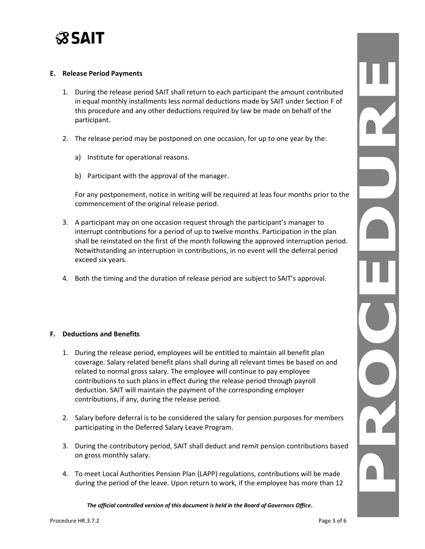

#### **E. Release Period Payments**

- 1. During the release period SAIT shall return to each participant the amount contributed in equal monthly installments less normal deductions made by SAIT under Section F of this procedure and any other deductions required by law be made on behalf of the participant.
- 2. The release period may be postponed on one occasion, for up to one year by the:
	- a) Institute for operational reasons.
	- b) Participant with the approval of the manager.

For any postponement, notice in writing will be required at leas four months prior to the commencement of the original release period.

- 3. A participant may on one occasion request through the participant's manager to interrupt contributions for a period of up to twelve months. Participation in the plan shall be reinstated on the first of the month following the approved interruption period. Notwithstanding an interruption in contributions, in no event will the deferral period exceed six years.
- 4. Both the timing and the duration of release period are subject to SAIT's approval.

#### **F. Deductions and Benefits**

- 1. During the release period, employees will be entitled to maintain all benefit plan coverage. Salary related benefit plans shall during all relevant times be based on and related to normal gross salary. The employee will continue to pay employee contributions to such plans in effect during the release period through payroll deduction. SAIT will maintain the payment of the corresponding employer contributions, if any, during the release period.
- 2. Salary before deferral is to be considered the salary for pension purposes for members participating in the Deferred Salary Leave Program.
- 3. During the contributory period, SAIT shall deduct and remit pension contributions based on gross monthly salary.
- 4. To meet Local Authorities Pension Plan (LAPP) regulations, contributions will be made during the period of the leave. Upon return to work, if the employee has more than 12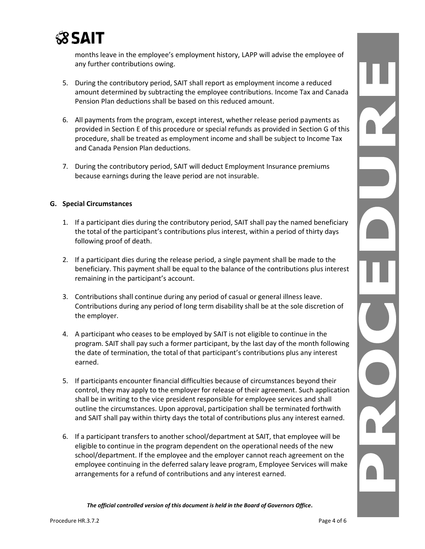

months leave in the employee's employment history, LAPP will advise the employee of any further contributions owing.

- 5. During the contributory period, SAIT shall report as employment income a reduced amount determined by subtracting the employee contributions. Income Tax and Canada Pension Plan deductions shall be based on this reduced amount.
- 6. All payments from the program, except interest, whether release period payments as provided in Section E of this procedure or special refunds as provided in Section G of this procedure, shall be treated as employment income and shall be subject to Income Tax and Canada Pension Plan deductions.
- 7. During the contributory period, SAIT will deduct Employment Insurance premiums because earnings during the leave period are not insurable.

### **G. Special Circumstances**

- 1. If a participant dies during the contributory period, SAIT shall pay the named beneficiary the total of the participant's contributions plus interest, within a period of thirty days following proof of death.
- 2. If a participant dies during the release period, a single payment shall be made to the beneficiary. This payment shall be equal to the balance of the contributions plus interest remaining in the participant's account.
- 3. Contributions shall continue during any period of casual or general illness leave. Contributions during any period of long term disability shall be at the sole discretion of the employer.
- 4. A participant who ceases to be employed by SAIT is not eligible to continue in the program. SAIT shall pay such a former participant, by the last day of the month following the date of termination, the total of that participant's contributions plus any interest earned.
- 5. If participants encounter financial difficulties because of circumstances beyond their control, they may apply to the employer for release of their agreement. Such application shall be in writing to the vice president responsible for employee services and shall outline the circumstances. Upon approval, participation shall be terminated forthwith and SAIT shall pay within thirty days the total of contributions plus any interest earned.
- 6. If a participant transfers to another school/department at SAIT, that employee will be eligible to continue in the program dependent on the operational needs of the new school/department. If the employee and the employer cannot reach agreement on the employee continuing in the deferred salary leave program, Employee Services will make arrangements for a refund of contributions and any interest earned.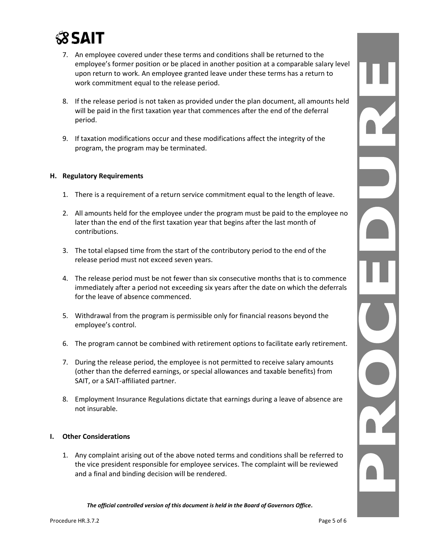

- 7. An employee covered under these terms and conditions shall be returned to the employee's former position or be placed in another position at a comparable salary level upon return to work. An employee granted leave under these terms has a return to work commitment equal to the release period.
- 8. If the release period is not taken as provided under the plan document, all amounts held will be paid in the first taxation year that commences after the end of the deferral period.
- 9. If taxation modifications occur and these modifications affect the integrity of the program, the program may be terminated.

### **H. Regulatory Requirements**

- 1. There is a requirement of a return service commitment equal to the length of leave.
- 2. All amounts held for the employee under the program must be paid to the employee no later than the end of the first taxation year that begins after the last month of contributions.
- 3. The total elapsed time from the start of the contributory period to the end of the release period must not exceed seven years.
- 4. The release period must be not fewer than six consecutive months that is to commence immediately after a period not exceeding six years after the date on which the deferrals for the leave of absence commenced.
- 5. Withdrawal from the program is permissible only for financial reasons beyond the employee's control.
- 6. The program cannot be combined with retirement options to facilitate early retirement.
- 7. During the release period, the employee is not permitted to receive salary amounts (other than the deferred earnings, or special allowances and taxable benefits) from SAIT, or a SAIT-affiliated partner.
- 8. Employment Insurance Regulations dictate that earnings during a leave of absence are not insurable.

#### **I. Other Considerations**

1. Any complaint arising out of the above noted terms and conditions shall be referred to the vice president responsible for employee services. The complaint will be reviewed and a final and binding decision will be rendered.